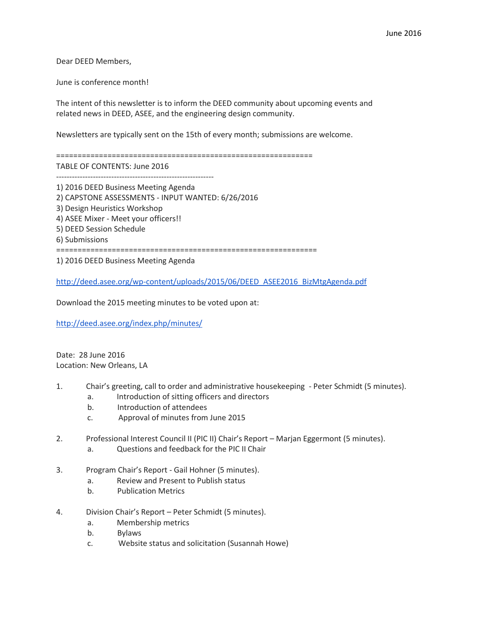Dear DEED Members,

June is conference month!

The intent of this newsletter is to inform the DEED community about upcoming events and related news in DEED, ASEE, and the engineering design community.

Newsletters are typically sent on the 15th of every month; submissions are welcome.

============================================================

TABLE OF CONTENTS: June 2016

------------------------------------------------------------

1) 2016 DEED Business Meeting Agenda 2) CAPSTONE ASSESSMENTS - INPUT WANTED: 6/26/2016 3) Design Heuristics Workshop 4) ASEE Mixer - Meet your officers!! 5) DEED Session Schedule 6) Submissions ============================================================= 1) 2016 DEED Business Meeting Agenda

[http://deed.asee.org/wp-content/uploads/2015/06/DEED\\_ASEE2016\\_BizMtgAgenda.pdf](http://deed.asee.org/wp-content/uploads/2015/06/DEED_ASEE2016_BizMtgAgenda.pdf)

Download the 2015 meeting minutes to be voted upon at:

<http://deed.asee.org/index.php/minutes/>

Date: 28 June 2016 Location: New Orleans, LA

- 1. Chair's greeting, call to order and administrative housekeeping Peter Schmidt (5 minutes).
	- a. Introduction of sitting officers and directors
		- b. Introduction of attendees
		- c. Approval of minutes from June 2015
- 2. Professional Interest Council II (PIC II) Chair's Report Marjan Eggermont (5 minutes).
	- a. Questions and feedback for the PIC II Chair
- 3. Program Chair's Report Gail Hohner (5 minutes).
	- a. Review and Present to Publish status
	- b. Publication Metrics
- 4. Division Chair's Report Peter Schmidt (5 minutes).
	- a. Membership metrics
	- b. Bylaws
	- c. Website status and solicitation (Susannah Howe)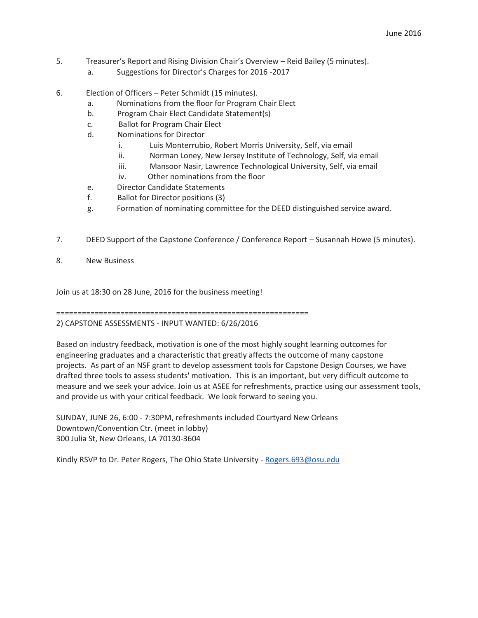- 5. Treasurer's Report and Rising Division Chair's Overview Reid Bailey (5 minutes).
	- a. Suggestions for Director's Charges for 2016 -2017
- 6. Election of Officers Peter Schmidt (15 minutes).
	- a. Nominations from the floor for Program Chair Elect
	- b. Program Chair Elect Candidate Statement(s)
	- c. Ballot for Program Chair Elect
	- d. Nominations for Director
		- i. Luis Monterrubio, Robert Morris University, Self, via email
		- ii. Norman Loney, New Jersey Institute of Technology, Self, via email
		- iii. Mansoor Nasir, Lawrence Technological University, Self, via email
		- iv. Other nominations from the floor
	- e. Director Candidate Statements
	- f. Ballot for Director positions (3)
	- g. Formation of nominating committee for the DEED distinguished service award.
- 7. DEED Support of the Capstone Conference / Conference Report Susannah Howe (5 minutes).
- 8. New Business

Join us at 18:30 on 28 June, 2016 for the business meeting!

===========================================================

2) CAPSTONE ASSESSMENTS - INPUT WANTED: 6/26/2016

Based on industry feedback, motivation is one of the most highly sought learning outcomes for engineering graduates and a characteristic that greatly affects the outcome of many capstone projects. As part of an NSF grant to develop assessment tools for Capstone Design Courses, we have drafted three tools to assess students' motivation. This is an important, but very difficult outcome to measure and we seek your advice. Join us at ASEE for refreshments, practice using our assessment tools, and provide us with your critical feedback. We look forward to seeing you.

SUNDAY, JUNE 26, 6:00 - 7:30PM, refreshments included Courtyard New Orleans Downtown/Convention Ctr. (meet in lobby) 300 Julia St, New Orleans, LA 70130-3604

Kindly RSVP to Dr. Peter Rogers, The Ohio State University - [Rogers.693@osu.edu](mailto:Rogers.693@osu.edu)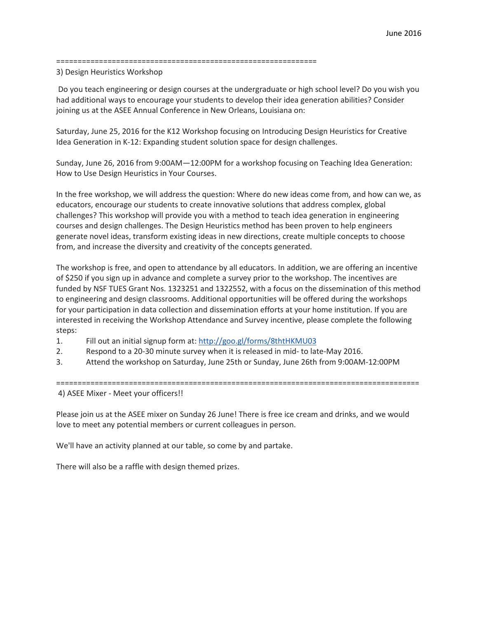=============================================================

## 3) Design Heuristics Workshop

Do you teach engineering or design courses at the undergraduate or high school level? Do you wish you had additional ways to encourage your students to develop their idea generation abilities? Consider joining us at the ASEE Annual Conference in New Orleans, Louisiana on:

Saturday, June 25, 2016 for the K12 Workshop focusing on Introducing Design Heuristics for Creative Idea Generation in K-12: Expanding student solution space for design challenges.

Sunday, June 26, 2016 from 9:00AM—12:00PM for a workshop focusing on Teaching Idea Generation: How to Use Design Heuristics in Your Courses.

In the free workshop, we will address the question: Where do new ideas come from, and how can we, as educators, encourage our students to create innovative solutions that address complex, global challenges? This workshop will provide you with a method to teach idea generation in engineering courses and design challenges. The Design Heuristics method has been proven to help engineers generate novel ideas, transform existing ideas in new directions, create multiple concepts to choose from, and increase the diversity and creativity of the concepts generated.

The workshop is free, and open to attendance by all educators. In addition, we are offering an incentive of \$250 if you sign up in advance and complete a survey prior to the workshop. The incentives are funded by NSF TUES Grant Nos. 1323251 and 1322552, with a focus on the dissemination of this method to engineering and design classrooms. Additional opportunities will be offered during the workshops for your participation in data collection and dissemination efforts at your home institution. If you are interested in receiving the Workshop Attendance and Survey incentive, please complete the following steps:

1. Fill out an initial signup form at: <http://goo.gl/forms/8thtHKMU03>

- 2. Respond to a 20-30 minute survey when it is released in mid- to late-May 2016.
- 3. Attend the workshop on Saturday, June 25th or Sunday, June 26th from 9:00AM-12:00PM

=====================================================================================

4) ASEE Mixer - Meet your officers!!

Please join us at the ASEE mixer on Sunday 26 June! There is free ice cream and drinks, and we would love to meet any potential members or current colleagues in person.

We'll have an activity planned at our table, so come by and partake.

There will also be a raffle with design themed prizes.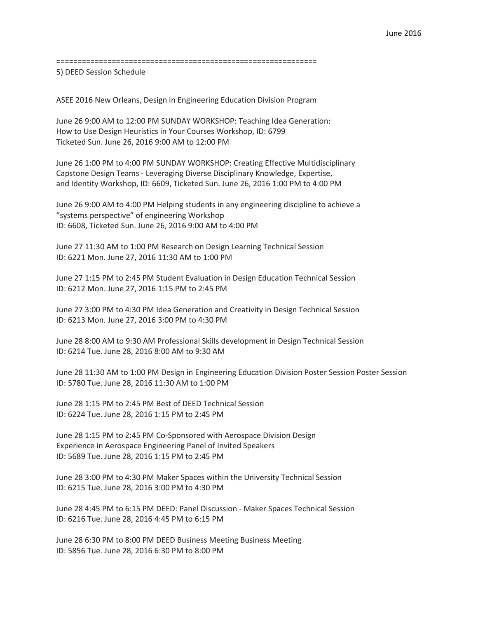=============================================================

5) DEED Session Schedule

ASEE 2016 New Orleans, Design in Engineering Education Division Program

June 26 9:00 AM to 12:00 PM SUNDAY WORKSHOP: Teaching Idea Generation: How to Use Design Heuristics in Your Courses Workshop, ID: 6799 Ticketed Sun. June 26, 2016 9:00 AM to 12:00 PM

June 26 1:00 PM to 4:00 PM SUNDAY WORKSHOP: Creating Effective Multidisciplinary Capstone Design Teams - Leveraging Diverse Disciplinary Knowledge, Expertise, and Identity Workshop, ID: 6609, Ticketed Sun. June 26, 2016 1:00 PM to 4:00 PM

June 26 9:00 AM to 4:00 PM Helping students in any engineering discipline to achieve a "systems perspective" of engineering Workshop ID: 6608, Ticketed Sun. June 26, 2016 9:00 AM to 4:00 PM

June 27 11:30 AM to 1:00 PM Research on Design Learning Technical Session ID: 6221 Mon. June 27, 2016 11:30 AM to 1:00 PM

June 27 1:15 PM to 2:45 PM Student Evaluation in Design Education Technical Session ID: 6212 Mon. June 27, 2016 1:15 PM to 2:45 PM

June 27 3:00 PM to 4:30 PM Idea Generation and Creativity in Design Technical Session ID: 6213 Mon. June 27, 2016 3:00 PM to 4:30 PM

June 28 8:00 AM to 9:30 AM Professional Skills development in Design Technical Session ID: 6214 Tue. June 28, 2016 8:00 AM to 9:30 AM

June 28 11:30 AM to 1:00 PM Design in Engineering Education Division Poster Session Poster Session ID: 5780 Tue. June 28, 2016 11:30 AM to 1:00 PM

June 28 1:15 PM to 2:45 PM Best of DEED Technical Session ID: 6224 Tue. June 28, 2016 1:15 PM to 2:45 PM

June 28 1:15 PM to 2:45 PM Co-Sponsored with Aerospace Division Design Experience in Aerospace Engineering Panel of Invited Speakers ID: 5689 Tue. June 28, 2016 1:15 PM to 2:45 PM

June 28 3:00 PM to 4:30 PM Maker Spaces within the University Technical Session ID: 6215 Tue. June 28, 2016 3:00 PM to 4:30 PM

June 28 4:45 PM to 6:15 PM DEED: Panel Discussion - Maker Spaces Technical Session ID: 6216 Tue. June 28, 2016 4:45 PM to 6:15 PM

June 28 6:30 PM to 8:00 PM DEED Business Meeting Business Meeting ID: 5856 Tue. June 28, 2016 6:30 PM to 8:00 PM